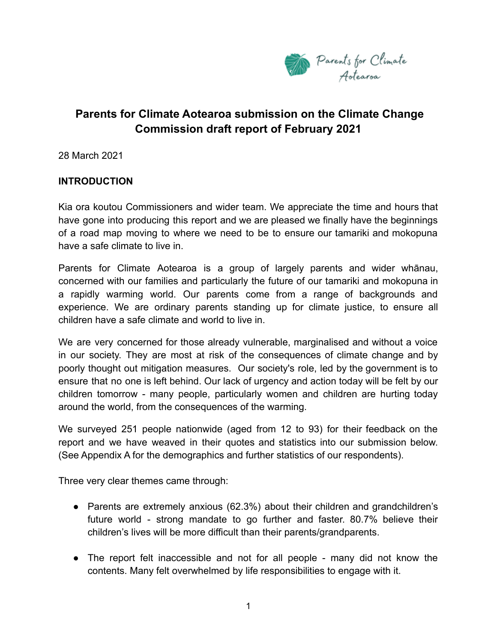

# **Parents for Climate Aotearoa submission on the Climate Change Commission draft report of February 2021**

28 March 2021

### **INTRODUCTION**

Kia ora koutou Commissioners and wider team. We appreciate the time and hours that have gone into producing this report and we are pleased we finally have the beginnings of a road map moving to where we need to be to ensure our tamariki and mokopuna have a safe climate to live in.

Parents for Climate Aotearoa is a group of largely parents and wider whānau, concerned with our families and particularly the future of our tamariki and mokopuna in a rapidly warming world. Our parents come from a range of backgrounds and experience. We are ordinary parents standing up for climate justice, to ensure all children have a safe climate and world to live in.

We are very concerned for those already vulnerable, marginalised and without a voice in our society. They are most at risk of the consequences of climate change and by poorly thought out mitigation measures. Our society's role, led by the government is to ensure that no one is left behind. Our lack of urgency and action today will be felt by our children tomorrow - many people, particularly women and children are hurting today around the world, from the consequences of the warming.

We surveyed 251 people nationwide (aged from 12 to 93) for their feedback on the report and we have weaved in their quotes and statistics into our submission below. (See Appendix A for the demographics and further statistics of our respondents).

Three very clear themes came through:

- Parents are extremely anxious (62.3%) about their children and grandchildren's future world - strong mandate to go further and faster. 80.7% believe their children's lives will be more difficult than their parents/grandparents.
- The report felt inaccessible and not for all people many did not know the contents. Many felt overwhelmed by life responsibilities to engage with it.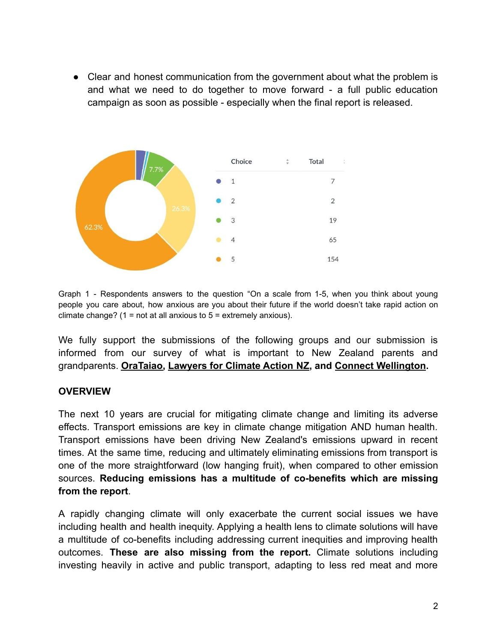• Clear and honest communication from the government about what the problem is and what we need to do together to move forward - a full public education campaign as soon as possible - especially when the final report is released.



Graph 1 - Respondents answers to the question "On a scale from 1-5, when you think about young people you care about, how anxious are you about their future if the world doesn't take rapid action on climate change? (1 = not at all anxious to  $5$  = extremely anxious).

We fully support the submissions of the following groups and our submission is informed from our survey of what is important to New Zealand parents and grandparents. **[OraTaiao,](https://www.orataiao.org.nz/submissions) [Lawyers for Climate Action](https://www.lawyersforclimateaction.nz/news-events/ccc-submission) NZ, and [Connect Wellington.](https://drive.google.com/file/d/1D8scs__uXXvHWXN3Bos5NJTdqYWnHdzT/view?usp=drivesdk)**

### **OVERVIEW**

The next 10 years are crucial for mitigating climate change and limiting its adverse effects. Transport emissions are key in climate change mitigation AND human health. Transport emissions have been driving New Zealand's emissions upward in recent times. At the same time, reducing and ultimately eliminating emissions from transport is one of the more straightforward (low hanging fruit), when compared to other emission sources. **Reducing emissions has a multitude of co-benefits which are missing from the report**.

A rapidly changing climate will only exacerbate the current social issues we have including health and health inequity. Applying a health lens to climate solutions will have a multitude of co-benefits including addressing current inequities and improving health outcomes. **These are also missing from the report.** Climate solutions including investing heavily in active and public transport, adapting to less red meat and more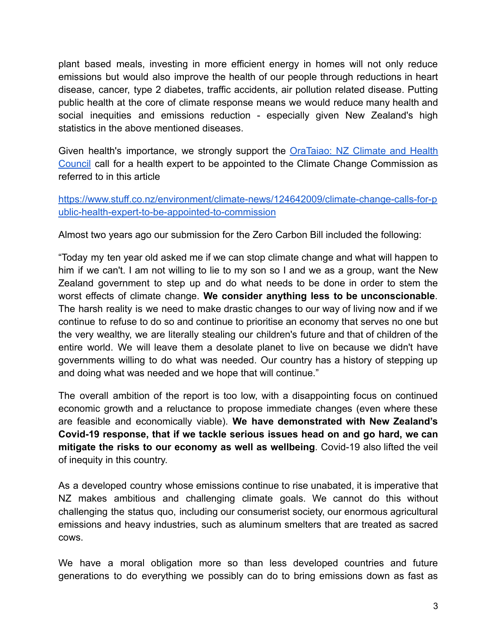plant based meals, investing in more efficient energy in homes will not only reduce emissions but would also improve the health of our people through reductions in heart disease, cancer, type 2 diabetes, traffic accidents, air pollution related disease. Putting public health at the core of climate response means we would reduce many health and social inequities and emissions reduction - especially given New Zealand's high statistics in the above mentioned diseases.

Given health's importance, we strongly support the **[OraTaiao:](https://www.orataiao.org.nz/?utm_source=discussion_mailer&utm_medium=email&utm_campaign=new_comment) NZ Climate and Health** [Council](https://www.orataiao.org.nz/?utm_source=discussion_mailer&utm_medium=email&utm_campaign=new_comment) call for a health expert to be appointed to the Climate Change Commission as referred to in this article

[https://www.stuff.co.nz/environment/climate-news/124642009/climate-change-calls-for-p](https://www.stuff.co.nz/environment/climate-news/124642009/climate-change-calls-for-public-health-expert-to-be-appointed-to-commission?utm_source=discussion_mailer&utm_medium=email&utm_campaign=new_comment) [ublic-health-expert-to-be-appointed-to-commissio](https://www.stuff.co.nz/environment/climate-news/124642009/climate-change-calls-for-public-health-expert-to-be-appointed-to-commission?utm_source=discussion_mailer&utm_medium=email&utm_campaign=new_comment)n

Almost two years ago our submission for the Zero Carbon Bill included the following:

"Today my ten year old asked me if we can stop climate change and what will happen to him if we can't. I am not willing to lie to my son so I and we as a group, want the New Zealand government to step up and do what needs to be done in order to stem the worst effects of climate change. **We consider anything less to be unconscionable**. The harsh reality is we need to make drastic changes to our way of living now and if we continue to refuse to do so and continue to prioritise an economy that serves no one but the very wealthy, we are literally stealing our children's future and that of children of the entire world. We will leave them a desolate planet to live on because we didn't have governments willing to do what was needed. Our country has a history of stepping up and doing what was needed and we hope that will continue."

The overall ambition of the report is too low, with a disappointing focus on continued economic growth and a reluctance to propose immediate changes (even where these are feasible and economically viable). **We have demonstrated with New Zealand's Covid-19 response, that if we tackle serious issues head on and go hard, we can mitigate the risks to our economy as well as wellbeing**. Covid-19 also lifted the veil of inequity in this country.

As a developed country whose emissions continue to rise unabated, it is imperative that NZ makes ambitious and challenging climate goals. We cannot do this without challenging the status quo, including our consumerist society, our enormous agricultural emissions and heavy industries, such as aluminum smelters that are treated as sacred cows.

We have a moral obligation more so than less developed countries and future generations to do everything we possibly can do to bring emissions down as fast as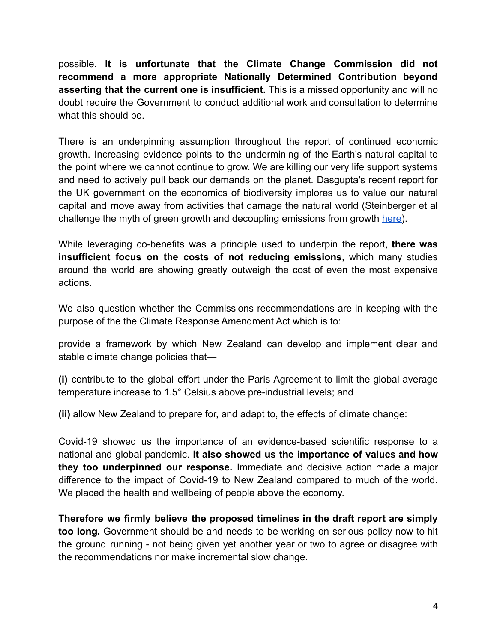possible. **It is unfortunate that the Climate Change Commission did not recommend a more appropriate Nationally Determined Contribution beyond asserting that the current one is insufficient.** This is a missed opportunity and will no doubt require the Government to conduct additional work and consultation to determine what this should be.

There is an underpinning assumption throughout the report of continued economic growth. Increasing evidence points to the undermining of the Earth's natural capital to the point where we cannot continue to grow. We are killing our very life support systems and need to actively pull back our demands on the planet. Dasgupta's recent report for the UK government on the economics of biodiversity implores us to value our natural capital and move away from activities that damage the natural world (Steinberger et al challenge the myth of green growth and decoupling emissions from growth [here\)](https://www.nature.com/articles/s41467-020-16941-y).

While leveraging co-benefits was a principle used to underpin the report, **there was insufficient focus on the costs of not reducing emissions**, which many studies around the world are showing greatly outweigh the cost of even the most expensive actions.

We also question whether the Commissions recommendations are in keeping with the purpose of the the Climate Response Amendment Act which is to:

provide a framework by which New Zealand can develop and implement clear and stable climate change policies that—

**(i)** contribute to the global effort under the Paris Agreement to limit the global average temperature increase to 1.5° Celsius above pre-industrial levels; and

**(ii)** allow New Zealand to prepare for, and adapt to, the effects of climate change:

Covid-19 showed us the importance of an evidence-based scientific response to a national and global pandemic. **It also showed us the importance of values and how they too underpinned our response.** Immediate and decisive action made a major difference to the impact of Covid-19 to New Zealand compared to much of the world. We placed the health and wellbeing of people above the economy.

**Therefore we firmly believe the proposed timelines in the draft report are simply too long.** Government should be and needs to be working on serious policy now to hit the ground running - not being given yet another year or two to agree or disagree with the recommendations nor make incremental slow change.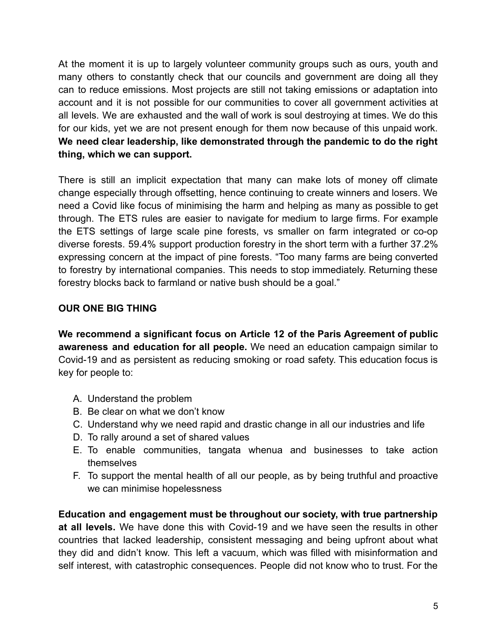At the moment it is up to largely volunteer community groups such as ours, youth and many others to constantly check that our councils and government are doing all they can to reduce emissions. Most projects are still not taking emissions or adaptation into account and it is not possible for our communities to cover all government activities at all levels. We are exhausted and the wall of work is soul destroying at times. We do this for our kids, yet we are not present enough for them now because of this unpaid work. **We need clear leadership, like demonstrated through the pandemic to do the right thing, which we can support.**

There is still an implicit expectation that many can make lots of money off climate change especially through offsetting, hence continuing to create winners and losers. We need a Covid like focus of minimising the harm and helping as many as possible to get through. The ETS rules are easier to navigate for medium to large firms. For example the ETS settings of large scale pine forests, vs smaller on farm integrated or co-op diverse forests. 59.4% support production forestry in the short term with a further 37.2% expressing concern at the impact of pine forests. "Too many farms are being converted to forestry by international companies. This needs to stop immediately. Returning these forestry blocks back to farmland or native bush should be a goal."

### **OUR ONE BIG THING**

**We recommend a significant focus on Article 12 of the Paris Agreement of public awareness and education for all people.** We need an education campaign similar to Covid-19 and as persistent as reducing smoking or road safety. This education focus is key for people to:

- A. Understand the problem
- B. Be clear on what we don't know
- C. Understand why we need rapid and drastic change in all our industries and life
- D. To rally around a set of shared values
- E. To enable communities, tangata whenua and businesses to take action themselves
- F. To support the mental health of all our people, as by being truthful and proactive we can minimise hopelessness

**Education and engagement must be throughout our society, with true partnership at all levels.** We have done this with Covid-19 and we have seen the results in other countries that lacked leadership, consistent messaging and being upfront about what they did and didn't know. This left a vacuum, which was filled with misinformation and self interest, with catastrophic consequences. People did not know who to trust. For the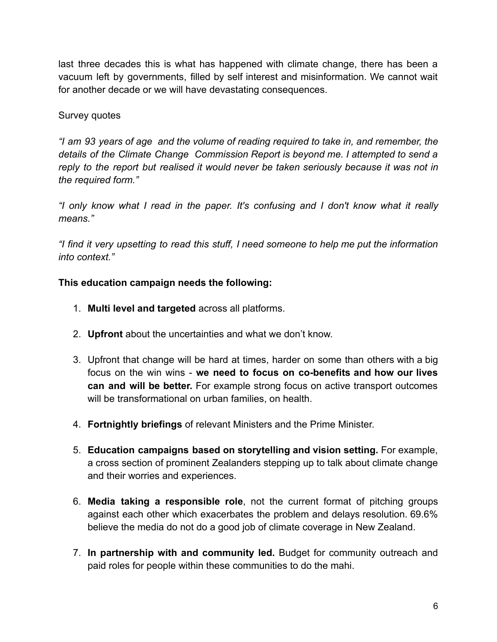last three decades this is what has happened with climate change, there has been a vacuum left by governments, filled by self interest and misinformation. We cannot wait for another decade or we will have devastating consequences.

## Survey quotes

*"I am 93 years of age and the volume of reading required to take in, and remember, the details of the Climate Change Commission Report is beyond me. I attempted to send a reply to the report but realised it would never be taken seriously because it was not in the required form."*

*"I only know what I read in the paper. It's confusing and I don't know what it really means."*

*"I find it very upsetting to read this stuff, I need someone to help me put the information into context."*

# **This education campaign needs the following:**

- 1. **Multi level and targeted** across all platforms.
- 2. **Upfront** about the uncertainties and what we don't know.
- 3. Upfront that change will be hard at times, harder on some than others with a big focus on the win wins - **we need to focus on co-benefits and how our lives can and will be better.** For example strong focus on active transport outcomes will be transformational on urban families, on health.
- 4. **Fortnightly briefings** of relevant Ministers and the Prime Minister.
- 5. **Education campaigns based on storytelling and vision setting.** For example, a cross section of prominent Zealanders stepping up to talk about climate change and their worries and experiences.
- 6. **Media taking a responsible role**, not the current format of pitching groups against each other which exacerbates the problem and delays resolution. 69.6% believe the media do not do a good job of climate coverage in New Zealand.
- 7. **In partnership with and community led.** Budget for community outreach and paid roles for people within these communities to do the mahi.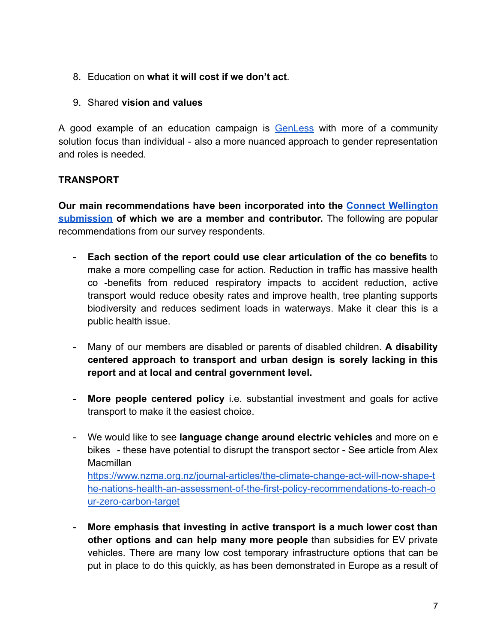- 8. Education on **what it will cost if we don't act**.
- 9. Shared **vision and values**

A good example of an education campaign is **[GenLess](https://genless.govt.nz/)** with more of a community solution focus than individual - also a more nuanced approach to gender representation and roles is needed.

# **TRANSPORT**

**Our main recommendations have been incorporated into the Connect [Wellington](https://drive.google.com/file/d/1D8scs__uXXvHWXN3Bos5NJTdqYWnHdzT/view?usp=drivesdk) [submission](https://drive.google.com/file/d/1D8scs__uXXvHWXN3Bos5NJTdqYWnHdzT/view?usp=drivesdk) of which we are a member and contributor.** The following are popular recommendations from our survey respondents.

- **Each section of the report could use clear articulation of the co benefits** to make a more compelling case for action. Reduction in traffic has massive health co -benefits from reduced respiratory impacts to accident reduction, active transport would reduce obesity rates and improve health, tree planting supports biodiversity and reduces sediment loads in waterways. Make it clear this is a public health issue.
- Many of our members are disabled or parents of disabled children. **A disability centered approach to transport and urban design is sorely lacking in this report and at local and central government level.**
- **More people centered policy** i.e. substantial investment and goals for active transport to make it the easiest choice.
- We would like to see **language change around electric vehicles** and more on e bikes - these have potential to disrupt the transport sector - See article from Alex Macmillan [https://www.nzma.org.nz/journal-articles/the-climate-change-act-will-now-shape-t](https://www.nzma.org.nz/journal-articles/the-climate-change-act-will-now-shape-the-nations-health-an-assessment-of-the-first-policy-recommendations-to-reach-our-zero-carbon-target) [he-nations-health-an-assessment-of-the-first-policy-recommendations-to-reach-o](https://www.nzma.org.nz/journal-articles/the-climate-change-act-will-now-shape-the-nations-health-an-assessment-of-the-first-policy-recommendations-to-reach-our-zero-carbon-target) [ur-zero-carbon-target](https://www.nzma.org.nz/journal-articles/the-climate-change-act-will-now-shape-the-nations-health-an-assessment-of-the-first-policy-recommendations-to-reach-our-zero-carbon-target)
- **More emphasis that investing in active transport is a much lower cost than other options and can help many more people** than subsidies for EV private vehicles. There are many low cost temporary infrastructure options that can be put in place to do this quickly, as has been demonstrated in Europe as a result of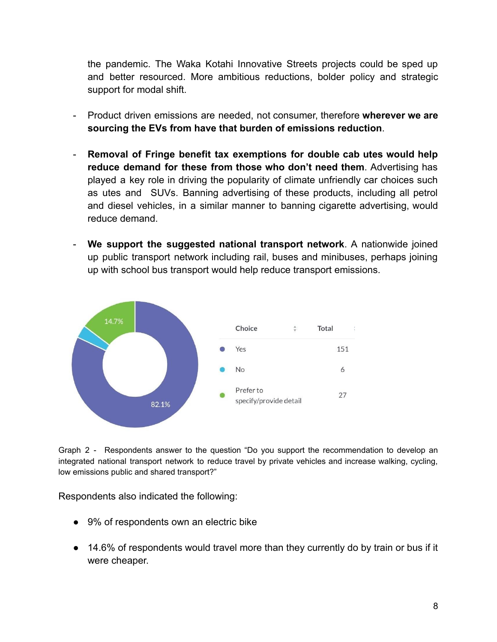the pandemic. The Waka Kotahi Innovative Streets projects could be sped up and better resourced. More ambitious reductions, bolder policy and strategic support for modal shift.

- Product driven emissions are needed, not consumer, therefore **wherever we are sourcing the EVs from have that burden of emissions reduction**.
- **Removal of Fringe benefit tax exemptions for double cab utes would help reduce demand for these from those who don't need them**. Advertising has played a key role in driving the popularity of climate unfriendly car choices such as utes and SUVs. Banning advertising of these products, including all petrol and diesel vehicles, in a similar manner to banning cigarette advertising, would reduce demand.
- **We support the suggested national transport network**. A nationwide joined up public transport network including rail, buses and minibuses, perhaps joining up with school bus transport would help reduce transport emissions.



Graph 2 - Respondents answer to the question "Do you support the recommendation to develop an integrated national transport network to reduce travel by private vehicles and increase walking, cycling, low emissions public and shared transport?"

Respondents also indicated the following:

- 9% of respondents own an electric bike
- 14.6% of respondents would travel more than they currently do by train or bus if it were cheaper.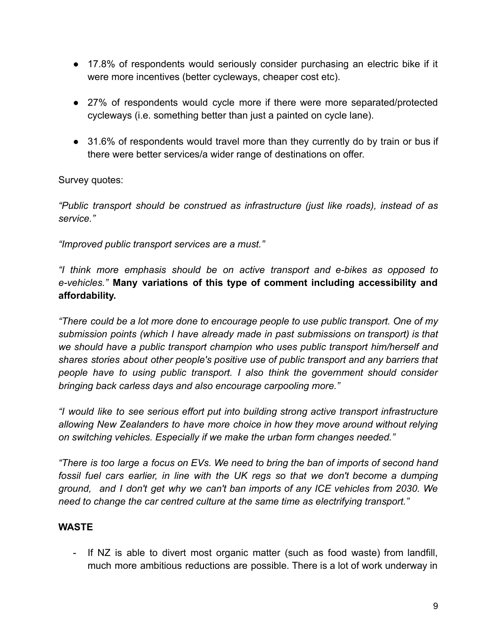- 17.8% of respondents would seriously consider purchasing an electric bike if it were more incentives (better cycleways, cheaper cost etc).
- 27% of respondents would cycle more if there were more separated/protected cycleways (i.e. something better than just a painted on cycle lane).
- 31.6% of respondents would travel more than they currently do by train or bus if there were better services/a wider range of destinations on offer.

Survey quotes:

*"Public transport should be construed as infrastructure (just like roads), instead of as service."*

*"Improved public transport services are a must."*

*"I think more emphasis should be on active transport and e-bikes as opposed to e-vehicles."* **Many variations of this type of comment including accessibility and affordability.**

*"There could be a lot more done to encourage people to use public transport. One of my submission points (which I have already made in past submissions on transport) is that we should have a public transport champion who uses public transport him/herself and shares stories about other people's positive use of public transport and any barriers that people have to using public transport. I also think the government should consider bringing back carless days and also encourage carpooling more."*

*"I would like to see serious effort put into building strong active transport infrastructure allowing New Zealanders to have more choice in how they move around without relying on switching vehicles. Especially if we make the urban form changes needed."*

*"There is too large a focus on EVs. We need to bring the ban of imports of second hand fossil fuel cars earlier, in line with the UK regs so that we don't become a dumping ground, and I don't get why we can't ban imports of any ICE vehicles from 2030. We need to change the car centred culture at the same time as electrifying transport."*

# **WASTE**

- If NZ is able to divert most organic matter (such as food waste) from landfill, much more ambitious reductions are possible. There is a lot of work underway in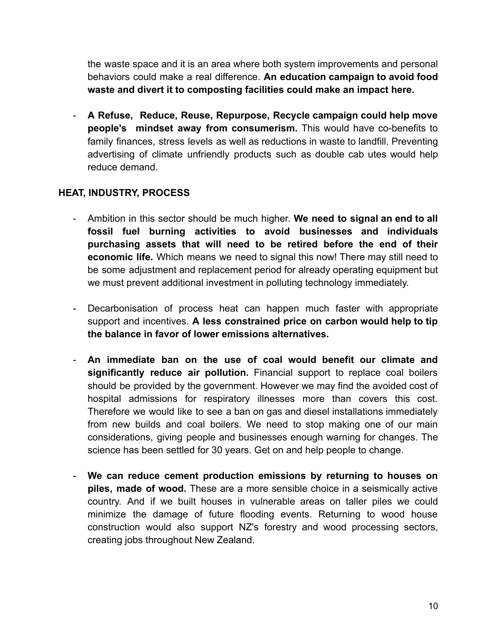the waste space and it is an area where both system improvements and personal behaviors could make a real difference. **An education campaign to avoid food waste and divert it to composting facilities could make an impact here.**

- **A Refuse, Reduce, Reuse, Repurpose, Recycle campaign could help move people's mindset away from consumerism.** This would have co-benefits to family finances, stress levels as well as reductions in waste to landfill. Preventing advertising of climate unfriendly products such as double cab utes would help reduce demand.

# **HEAT, INDUSTRY, PROCESS**

- Ambition in this sector should be much higher. **We need to signal an end to all fossil fuel burning activities to avoid businesses and individuals purchasing assets that will need to be retired before the end of their economic life.** Which means we need to signal this now! There may still need to be some adjustment and replacement period for already operating equipment but we must prevent additional investment in polluting technology immediately.
- Decarbonisation of process heat can happen much faster with appropriate support and incentives. **A less constrained price on carbon would help to tip the balance in favor of lower emissions alternatives.**
- **An immediate ban on the use of coal would benefit our climate and significantly reduce air pollution.** Financial support to replace coal boilers should be provided by the government. However we may find the avoided cost of hospital admissions for respiratory illnesses more than covers this cost. Therefore we would like to see a ban on gas and diesel installations immediately from new builds and coal boilers. We need to stop making one of our main considerations, giving people and businesses enough warning for changes. The science has been settled for 30 years. Get on and help people to change.
- **We can reduce cement production emissions by returning to houses on piles, made of wood.** These are a more sensible choice in a seismically active country. And if we built houses in vulnerable areas on taller piles we could minimize the damage of future flooding events. Returning to wood house construction would also support NZ's forestry and wood processing sectors, creating jobs throughout New Zealand.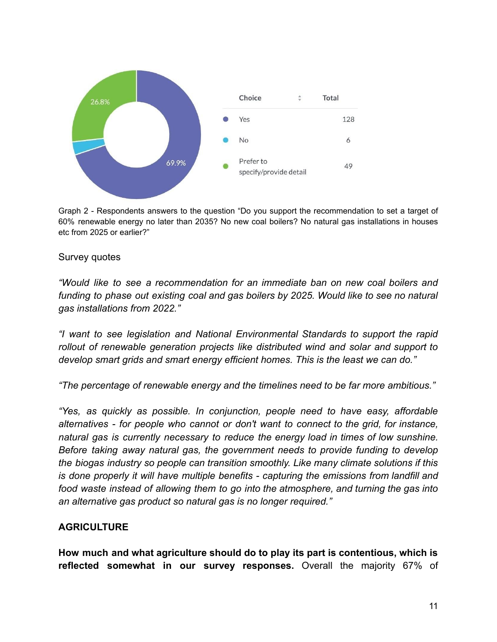

Graph 2 - Respondents answers to the question "Do you support the recommendation to set a target of 60% renewable energy no later than 2035? No new coal boilers? No natural gas installations in houses etc from 2025 or earlier?"

#### Survey quotes

*"Would like to see a recommendation for an immediate ban on new coal boilers and funding to phase out existing coal and gas boilers by 2025. Would like to see no natural gas installations from 2022."*

*"I want to see legislation and National Environmental Standards to support the rapid rollout of renewable generation projects like distributed wind and solar and support to develop smart grids and smart energy efficient homes. This is the least we can do."*

*"The percentage of renewable energy and the timelines need to be far more ambitious."*

*"Yes, as quickly as possible. In conjunction, people need to have easy, affordable alternatives - for people who cannot or don't want to connect to the grid, for instance, natural gas is currently necessary to reduce the energy load in times of low sunshine. Before taking away natural gas, the government needs to provide funding to develop the biogas industry so people can transition smoothly. Like many climate solutions if this is done properly it will have multiple benefits - capturing the emissions from landfill and food waste instead of allowing them to go into the atmosphere, and turning the gas into an alternative gas product so natural gas is no longer required."*

#### **AGRICULTURE**

**How much and what agriculture should do to play its part is contentious, which is reflected somewhat in our survey responses.** Overall the majority 67% of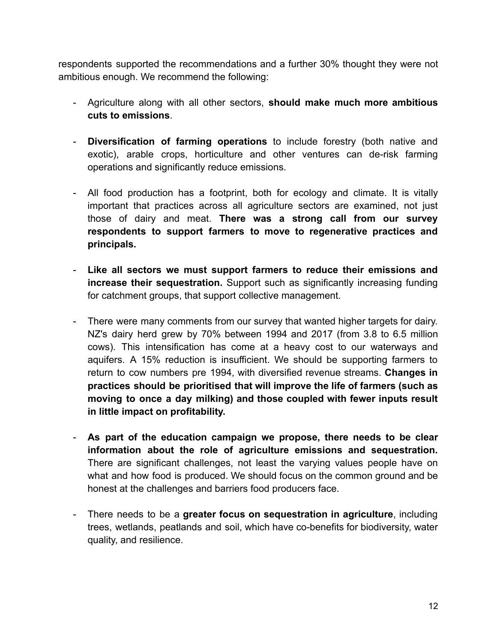respondents supported the recommendations and a further 30% thought they were not ambitious enough. We recommend the following:

- Agriculture along with all other sectors, **should make much more ambitious cuts to emissions**.
- **Diversification of farming operations** to include forestry (both native and exotic), arable crops, horticulture and other ventures can de-risk farming operations and significantly reduce emissions.
- All food production has a footprint, both for ecology and climate. It is vitally important that practices across all agriculture sectors are examined, not just those of dairy and meat. **There was a strong call from our survey respondents to support farmers to move to regenerative practices and principals.**
- **Like all sectors we must support farmers to reduce their emissions and increase their sequestration.** Support such as significantly increasing funding for catchment groups, that support collective management.
- There were many comments from our survey that wanted higher targets for dairy. NZ's dairy herd grew by 70% between 1994 and 2017 (from 3.8 to 6.5 million cows). This intensification has come at a heavy cost to our waterways and aquifers. A 15% reduction is insufficient. We should be supporting farmers to return to cow numbers pre 1994, with diversified revenue streams. **Changes in practices should be prioritised that will improve the life of farmers (such as moving to once a day milking) and those coupled with fewer inputs result in little impact on profitability.**
- **As part of the education campaign we propose, there needs to be clear information about the role of agriculture emissions and sequestration.** There are significant challenges, not least the varying values people have on what and how food is produced. We should focus on the common ground and be honest at the challenges and barriers food producers face.
- There needs to be a **greater focus on sequestration in agriculture**, including trees, wetlands, peatlands and soil, which have co-benefits for biodiversity, water quality, and resilience.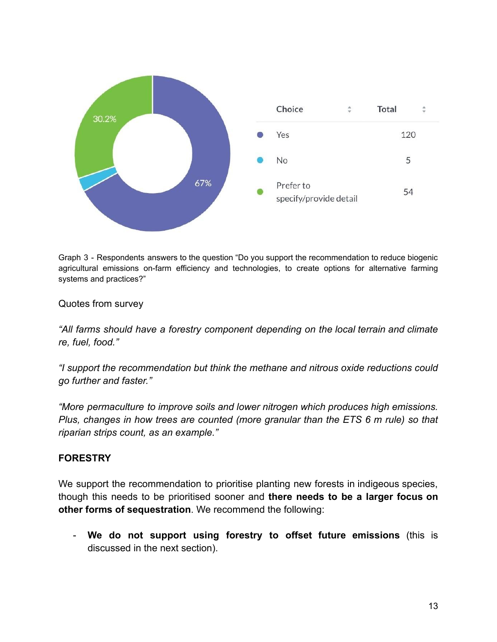

Graph 3 - Respondents answers to the question "Do you support the recommendation to reduce biogenic agricultural emissions on-farm efficiency and technologies, to create options for alternative farming systems and practices?"

Quotes from survey

*"All farms should have a forestry component depending on the local terrain and climate re, fuel, food."*

*"I support the recommendation but think the methane and nitrous oxide reductions could go further and faster."*

*"More permaculture to improve soils and lower nitrogen which produces high emissions. Plus, changes in how trees are counted (more granular than the ETS 6 m rule) so that riparian strips count, as an example."*

### **FORESTRY**

We support the recommendation to prioritise planting new forests in indigeous species, though this needs to be prioritised sooner and **there needs to be a larger focus on other forms of sequestration**. We recommend the following:

- **We do not support using forestry to offset future emissions** (this is discussed in the next section).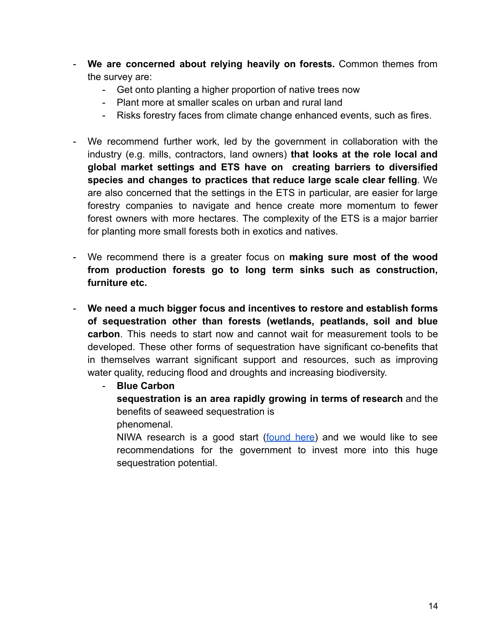- **We are concerned about relying heavily on forests.** Common themes from the survey are:
	- Get onto planting a higher proportion of native trees now
	- Plant more at smaller scales on urban and rural land
	- Risks forestry faces from climate change enhanced events, such as fires.
- We recommend further work, led by the government in collaboration with the industry (e.g. mills, contractors, land owners) **that looks at the role local and global market settings and ETS have on creating barriers to diversified species and changes to practices that reduce large scale clear felling**. We are also concerned that the settings in the ETS in particular, are easier for large forestry companies to navigate and hence create more momentum to fewer forest owners with more hectares. The complexity of the ETS is a major barrier for planting more small forests both in exotics and natives.
- We recommend there is a greater focus on **making sure most of the wood from production forests go to long term sinks such as construction, furniture etc.**
- **We need a much bigger focus and incentives to restore and establish forms of sequestration other than forests (wetlands, peatlands, soil and blue carbon**. This needs to start now and cannot wait for measurement tools to be developed. These other forms of sequestration have significant co-benefits that in themselves warrant significant support and resources, such as improving water quality, reducing flood and droughts and increasing biodiversity.

- **Blue Carbon**

**sequestration is an area rapidly growing in terms of research** and the benefits of seaweed sequestration is

phenomenal.

NIWA research is a good start [\(found](https://niwa.co.nz/news/niwa-seaweed-scientist-tackling-global-climate-change-issue) here) and we would like to see recommendations for the government to invest more into this huge sequestration potential.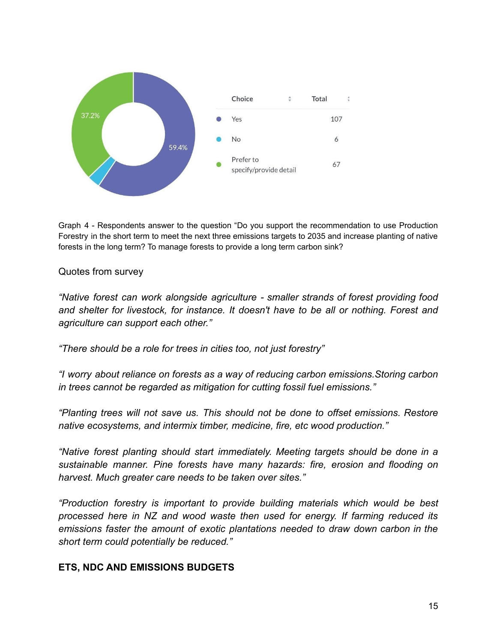

Graph 4 - Respondents answer to the question "Do you support the recommendation to use Production Forestry in the short term to meet the next three emissions targets to 2035 and increase planting of native forests in the long term? To manage forests to provide a long term carbon sink?

Quotes from survey

*"Native forest can work alongside agriculture - smaller strands of forest providing food and shelter for livestock, for instance. It doesn't have to be all or nothing. Forest and agriculture can support each other."*

*"There should be a role for trees in cities too, not just forestry"*

*"I worry about reliance on forests as a way of reducing carbon emissions.Storing carbon in trees cannot be regarded as mitigation for cutting fossil fuel emissions."*

*"Planting trees will not save us. This should not be done to offset emissions. Restore native ecosystems, and intermix timber, medicine, fire, etc wood production."*

*"Native forest planting should start immediately. Meeting targets should be done in a sustainable manner. Pine forests have many hazards: fire, erosion and flooding on harvest. Much greater care needs to be taken over sites."*

*"Production forestry is important to provide building materials which would be best processed here in NZ and wood waste then used for energy. If farming reduced its emissions faster the amount of exotic plantations needed to draw down carbon in the short term could potentially be reduced."*

#### **ETS, NDC AND EMISSIONS BUDGETS**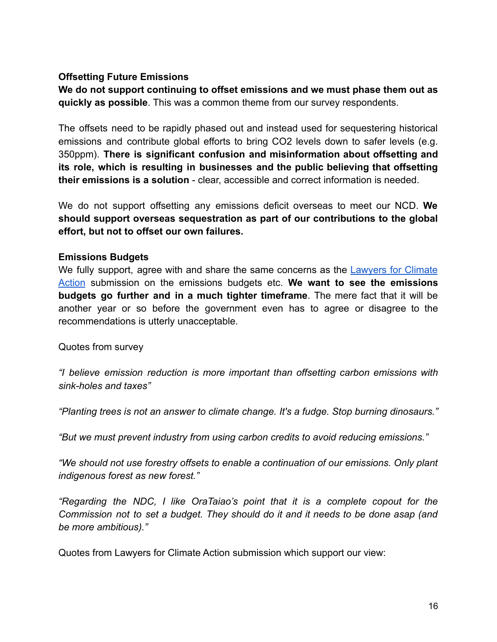### **Offsetting Future Emissions**

**We do not support continuing to offset emissions and we must phase them out as quickly as possible**. This was a common theme from our survey respondents.

The offsets need to be rapidly phased out and instead used for sequestering historical emissions and contribute global efforts to bring CO2 levels down to safer levels (e.g. 350ppm). **There is significant confusion and misinformation about offsetting and its role, which is resulting in businesses and the public believing that offsetting their emissions is a solution** - clear, accessible and correct information is needed.

We do not support offsetting any emissions deficit overseas to meet our NCD. **We should support overseas sequestration as part of our contributions to the global effort, but not to offset our own failures.**

#### **Emissions Budgets**

We fully support, agree with and share the same concerns as the [Lawyers](https://www.lawyersforclimateaction.nz/news-events/ccc-submission) for Climate [Action](https://www.lawyersforclimateaction.nz/news-events/ccc-submission) submission on the emissions budgets etc. **We want to see the emissions budgets go further and in a much tighter timeframe**. The mere fact that it will be another year or so before the government even has to agree or disagree to the recommendations is utterly unacceptable.

Quotes from survey

*"I believe emission reduction is more important than offsetting carbon emissions with sink-holes and taxes"*

*"Planting trees is not an answer to climate change. It's a fudge. Stop burning dinosaurs."*

*"But we must prevent industry from using carbon credits to avoid reducing emissions."*

*"We should not use forestry offsets to enable a continuation of our emissions. Only plant indigenous forest as new forest."*

*"Regarding the NDC, I like OraTaiao's point that it is a complete copout for the Commission not to set a budget. They should do it and it needs to be done asap (and be more ambitious)."*

Quotes from Lawyers for Climate Action submission which support our view: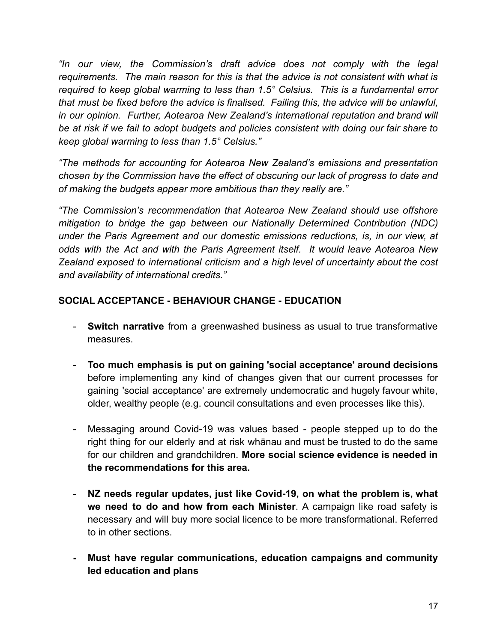*"In our view, the Commission's draft advice does not comply with the legal requirements. The main reason for this is that the advice is not consistent with what is required to keep global warming to less than 1.5° Celsius. This is a fundamental error that must be fixed before the advice is finalised. Failing this, the advice will be unlawful, in our opinion. Further, Aotearoa New Zealand's international reputation and brand will be at risk if we fail to adopt budgets and policies consistent with doing our fair share to keep global warming to less than 1.5° Celsius."*

*"The methods for accounting for Aotearoa New Zealand's emissions and presentation chosen by the Commission have the effect of obscuring our lack of progress to date and of making the budgets appear more ambitious than they really are."*

*"The Commission's recommendation that Aotearoa New Zealand should use offshore mitigation to bridge the gap between our Nationally Determined Contribution (NDC) under the Paris Agreement and our domestic emissions reductions, is, in our view, at odds with the Act and with the Paris Agreement itself. It would leave Aotearoa New Zealand exposed to international criticism and a high level of uncertainty about the cost and availability of international credits."*

# **SOCIAL ACCEPTANCE - BEHAVIOUR CHANGE - EDUCATION**

- **Switch narrative** from a greenwashed business as usual to true transformative measures.
- **Too much emphasis is put on gaining 'social acceptance' around decisions** before implementing any kind of changes given that our current processes for gaining 'social acceptance' are extremely undemocratic and hugely favour white, older, wealthy people (e.g. council consultations and even processes like this).
- Messaging around Covid-19 was values based people stepped up to do the right thing for our elderly and at risk whānau and must be trusted to do the same for our children and grandchildren. **More social science evidence is needed in the recommendations for this area.**
- **NZ needs regular updates, just like Covid-19, on what the problem is, what we need to do and how from each Minister**. A campaign like road safety is necessary and will buy more social licence to be more transformational. Referred to in other sections.
- **- Must have regular communications, education campaigns and community led education and plans**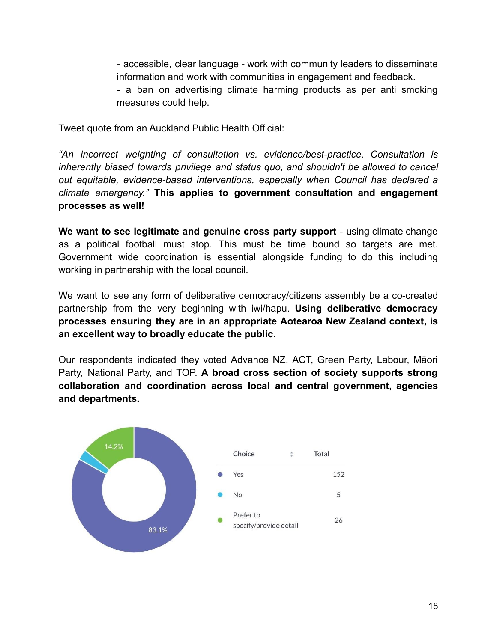- accessible, clear language - work with community leaders to disseminate information and work with communities in engagement and feedback.

- a ban on advertising climate harming products as per anti smoking measures could help.

Tweet quote from an Auckland Public Health Official:

*"An incorrect weighting of consultation vs. evidence/best-practice. Consultation is inherently biased towards privilege and status quo, and shouldn't be allowed to cancel out equitable, evidence-based interventions, especially when Council has declared a climate emergency."* **This applies to government consultation and engagement processes as well!**

**We want to see legitimate and genuine cross party support** - using climate change as a political football must stop. This must be time bound so targets are met. Government wide coordination is essential alongside funding to do this including working in partnership with the local council.

We want to see any form of deliberative democracy/citizens assembly be a co-created partnership from the very beginning with iwi/hapu. **Using deliberative democracy processes ensuring they are in an appropriate Aotearoa New Zealand context, is an excellent way to broadly educate the public.**

Our respondents indicated they voted Advance NZ, ACT, Green Party, Labour, Māori Party, National Party, and TOP. **A broad cross section of society supports strong collaboration and coordination across local and central government, agencies and departments.**

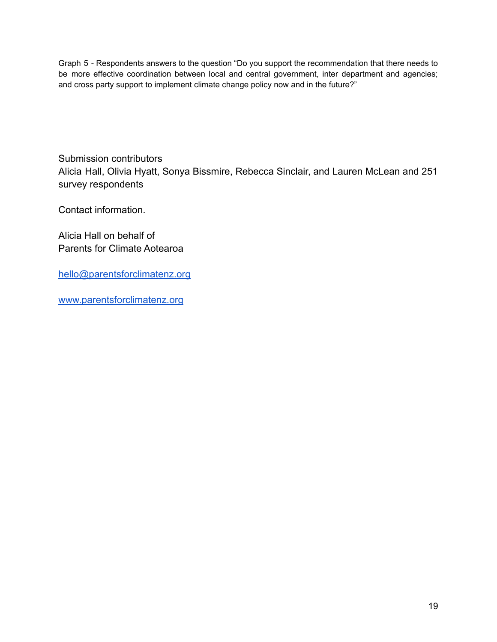Graph 5 - Respondents answers to the question "Do you support the recommendation that there needs to be more effective coordination between local and central government, inter department and agencies; and cross party support to implement climate change policy now and in the future?"

Submission contributors Alicia Hall, Olivia Hyatt, Sonya Bissmire, Rebecca Sinclair, and Lauren McLean and 251 survey respondents

Contact information.

Alicia Hall on behalf of Parents for Climate Aotearoa

[hello@parentsforclimatenz.org](mailto:hello@parentsforclimatenz.org)

[www.parentsforclimatenz.org](http://www.parentsforclimatenz.org)